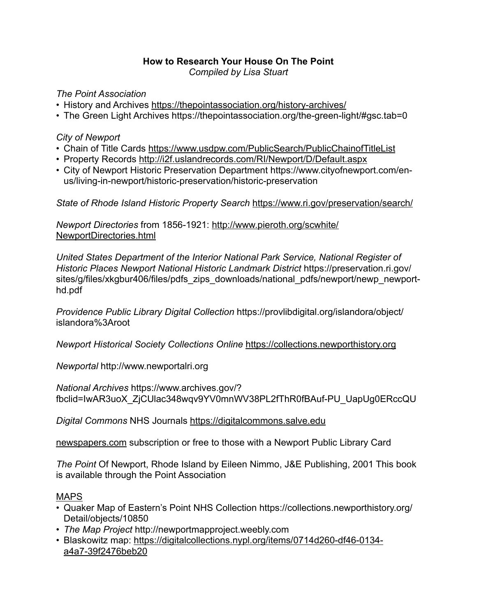# **How to Research Your House On The Point**

*Compiled by Lisa Stuart*

*The Point Association* 

- History and Archives <https://thepointassociation.org/history-archives/>
- The Green Light Archives https://thepointassociation.org/the-green-light/#gsc.tab=0

## *City of Newport*

- Chain of Title Cards <https://www.usdpw.com/PublicSearch/PublicChainofTitleList>
- Property Records <http://i2f.uslandrecords.com/RI/Newport/D/Default.aspx>
- City of Newport Historic Preservation Department https://www.cityofnewport.com/enus/living-in-newport/historic-preservation/historic-preservation

*State of Rhode Island Historic Property Search* <https://www.ri.gov/preservation/search/>

*Newport Directories* from 1856-1921: [http://www.pieroth.org/scwhite/](http://www.pieroth.org/scwhite/NewportDirectories.html) [NewportDirectories.html](http://www.pieroth.org/scwhite/NewportDirectories.html)

*United States Department of the Interior National Park Service, National Register of Historic Places Newport National Historic Landmark District* https://preservation.ri.gov/ sites/g/files/xkgbur406/files/pdfs\_zips\_downloads/national\_pdfs/newport/newp\_newporthd.pdf

*Providence Public Library Digital Collection* https://provlibdigital.org/islandora/object/ islandora%3Aroot

*Newport Historical Society Collections Online* <https://collections.newporthistory.org>

*Newportal* http://www.newportalri.org

*National Archives* https://www.archives.gov/? fbclid=IwAR3uoX\_ZjCUlac348wqv9YV0mnWV38PL2fThR0fBAuf-PU\_UapUg0ERccQU

*Digital Commons* NHS Journals<https://digitalcommons.salve.edu>

[newspapers.com](http://newspapers.com) subscription or free to those with a Newport Public Library Card

*The Point* Of Newport, Rhode Island by Eileen Nimmo, J&E Publishing, 2001 This book is available through the Point Association

## MAPS

- Quaker Map of Eastern's Point NHS Collection https://collections.newporthistory.org/ Detail/objects/10850
- *The Map Project* http://newportmapproject.weebly.com
- [Blaskowitz map: https://digitalcollections.nypl.org/items/0714d260-df46-0134](https://digitalcollections.nypl.org/items/0714d260-df46-0134-a4a7-39f2476beb20) [a4a7-39f2476beb20](https://digitalcollections.nypl.org/items/0714d260-df46-0134-a4a7-39f2476beb20)